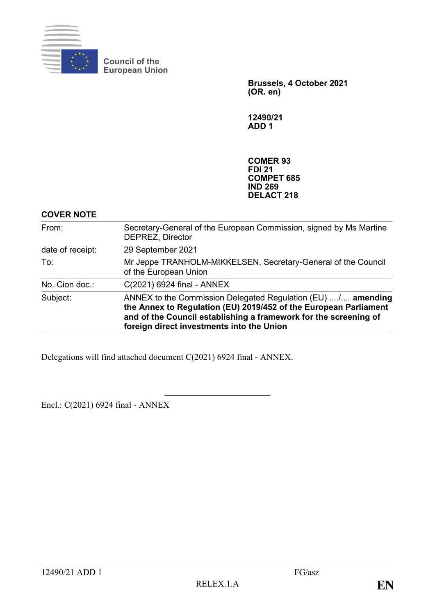

**Council of the European Union**

> **Brussels, 4 October 2021 (OR. en)**

**12490/21 ADD 1**

**COMER 93 FDI 21 COMPET 685 IND 269 DELACT 218**

## **COVER NOTE**

| Subject:         | ANNEX to the Commission Delegated Regulation (EU) / amending<br>the Annex to Regulation (EU) 2019/452 of the European Parliament<br>and of the Council establishing a framework for the screening of<br>foreign direct investments into the Union |
|------------------|---------------------------------------------------------------------------------------------------------------------------------------------------------------------------------------------------------------------------------------------------|
| No. Cion doc.:   | C(2021) 6924 final - ANNEX                                                                                                                                                                                                                        |
| To:              | Mr Jeppe TRANHOLM-MIKKELSEN, Secretary-General of the Council<br>of the European Union                                                                                                                                                            |
| date of receipt: | 29 September 2021                                                                                                                                                                                                                                 |
| From:            | Secretary-General of the European Commission, signed by Ms Martine<br>DEPREZ, Director                                                                                                                                                            |

Delegations will find attached document C(2021) 6924 final - ANNEX.

Encl.: C(2021) 6924 final - ANNEX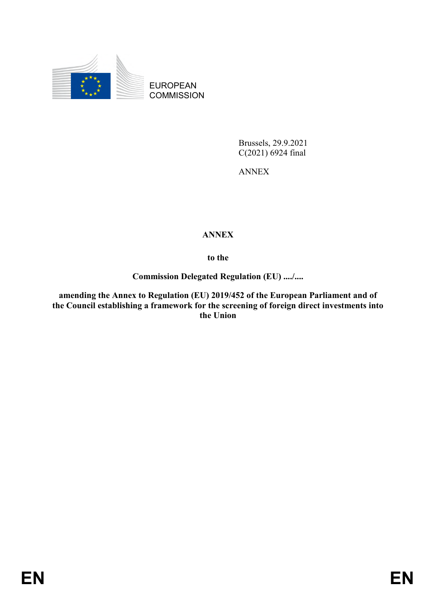

EUROPEAN **COMMISSION** 

> Brussels, 29.9.2021 C(2021) 6924 final

ANNEX

## **ANNEX**

**to the**

**Commission Delegated Regulation (EU) ..../....**

**amending the Annex to Regulation (EU) 2019/452 of the European Parliament and of the Council establishing a framework for the screening of foreign direct investments into the Union**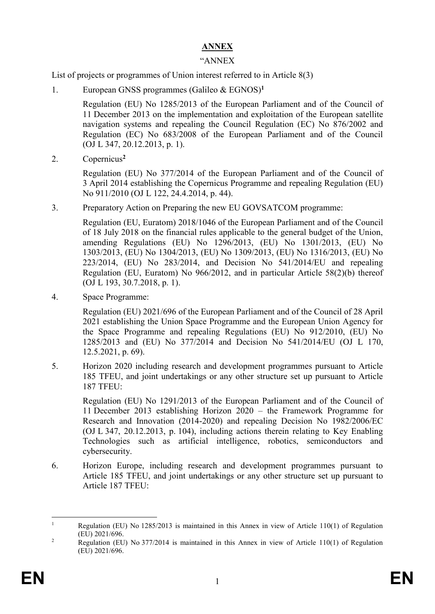## **ANNEX**

## "ANNEX

List of projects or programmes of Union interest referred to in Article 8(3)

1. European GNSS programmes (Galileo & EGNOS)**<sup>1</sup>**

Regulation (EU) No 1285/2013 of the European Parliament and of the Council of 11 December 2013 on the implementation and exploitation of the European satellite navigation systems and repealing the Council Regulation (EC) No 876/2002 and Regulation (EC) No 683/2008 of the European Parliament and of the Council (OJ L 347, 20.12.2013, p. 1).

2. Copernicus**<sup>2</sup>**

Regulation (EU) No 377/2014 of the European Parliament and of the Council of 3 April 2014 establishing the Copernicus Programme and repealing Regulation (EU) No 911/2010 (OJ L 122, 24.4.2014, p. 44).

3. Preparatory Action on Preparing the new EU GOVSATCOM programme:

Regulation (EU, Euratom) 2018/1046 of the European Parliament and of the Council of 18 July 2018 on the financial rules applicable to the general budget of the Union, amending Regulations (EU) No 1296/2013, (EU) No 1301/2013, (EU) No 1303/2013, (EU) No 1304/2013, (EU) No 1309/2013, (EU) No 1316/2013, (EU) No 223/2014, (EU) No 283/2014, and Decision No 541/2014/EU and repealing Regulation (EU, Euratom) No 966/2012, and in particular Article 58(2)(b) thereof [\(OJ L 193, 30.7.2018, p. 1\)](https://eur-lex.europa.eu/legal-content/EN/AUTO/?uri=OJ:L:2018:193:TOC).

4. Space Programme:

Regulation (EU) 2021/696 of the European Parliament and of the Council of 28 April 2021 establishing the Union Space Programme and the European Union Agency for the Space Programme and repealing Regulations (EU) No 912/2010, (EU) No 1285/2013 and (EU) No 377/2014 and Decision No 541/2014/EU (OJ L 170, 12.5.2021, p. 69).

5. Horizon 2020 including research and development programmes pursuant to Article 185 TFEU, and joint undertakings or any other structure set up pursuant to Article 187 TFEU:

Regulation (EU) No 1291/2013 of the European Parliament and of the Council of 11 December 2013 establishing Horizon 2020 – the Framework Programme for Research and Innovation (2014-2020) and repealing Decision No 1982/2006/EC (OJ L 347, 20.12.2013, p. 104), including actions therein relating to Key Enabling Technologies such as artificial intelligence, robotics, semiconductors and cybersecurity.

6. Horizon Europe, including research and development programmes pursuant to Article 185 TFEU, and joint undertakings or any other structure set up pursuant to Article 187 TFEU:

 $\mathbf{1}$ <sup>1</sup> Regulation (EU) No 1285/2013 is maintained in this Annex in view of Article 110(1) of Regulation (EU) 2021/696.

<sup>&</sup>lt;sup>2</sup> Regulation (EU) No 377/2014 is maintained in this Annex in view of Article 110(1) of Regulation (EU) 2021/696.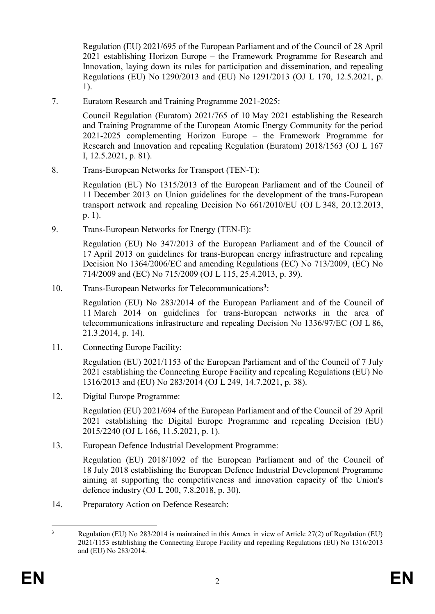Regulation (EU) 2021/695 of the European Parliament and of the Council of 28 April 2021 establishing Horizon Europe – the Framework Programme for Research and Innovation, laying down its rules for participation and dissemination, and repealing Regulations (EU) No 1290/2013 and (EU) No 1291/2013 (OJ L 170, 12.5.2021, p. 1).

7. Euratom Research and Training Programme 2021-2025:

Council Regulation (Euratom) 2021/765 of 10 May 2021 establishing the Research and Training Programme of the European Atomic Energy Community for the period 2021-2025 complementing Horizon Europe – the Framework Programme for Research and Innovation and repealing Regulation (Euratom) 2018/1563 (OJ L 167 I, 12.5.2021, p. 81).

8. Trans-European Networks for Transport (TEN-T):

Regulation (EU) No 1315/2013 of the European Parliament and of the Council of 11 December 2013 on Union guidelines for the development of the trans-European transport network and repealing Decision No 661/2010/EU (OJ L 348, 20.12.2013, p. 1).

9. Trans-European Networks for Energy (TEN-E):

Regulation (EU) No 347/2013 of the European Parliament and of the Council of 17 April 2013 on guidelines for trans-European energy infrastructure and repealing Decision No 1364/2006/EC and amending Regulations (EC) No 713/2009, (EC) No 714/2009 and (EC) No 715/2009 (OJ L 115, 25.4.2013, p. 39).

10. Trans-European Networks for Telecommunications**<sup>3</sup>** :

Regulation (EU) No 283/2014 of the European Parliament and of the Council of 11 March 2014 on guidelines for trans-European networks in the area of telecommunications infrastructure and repealing Decision No 1336/97/EC (OJ L 86, 21.3.2014, p. 14).

11. Connecting Europe Facility:

Regulation (EU) 2021/1153 of the European Parliament and of the Council of 7 July 2021 establishing the Connecting Europe Facility and repealing Regulations (EU) No 1316/2013 and (EU) No 283/2014 (OJ L 249, 14.7.2021, p. 38).

12. Digital Europe Programme:

Regulation (EU) 2021/694 of the European Parliament and of the Council of 29 April 2021 establishing the Digital Europe Programme and repealing Decision (EU) 2015/2240 (OJ L 166, 11.5.2021, p. 1).

13. European Defence Industrial Development Programme:

Regulation (EU) 2018/1092 of the European Parliament and of the Council of 18 July 2018 establishing the European Defence Industrial Development Programme aiming at supporting the competitiveness and innovation capacity of the Union's defence industry (OJ L 200, 7.8.2018, p. 30).

14. Preparatory Action on Defence Research:

 $\overline{3}$ <sup>3</sup> Regulation (EU) No 283/2014 is maintained in this Annex in view of Article 27(2) of Regulation (EU) 2021/1153 establishing the Connecting Europe Facility and repealing Regulations (EU) No 1316/2013 and (EU) No 283/2014.